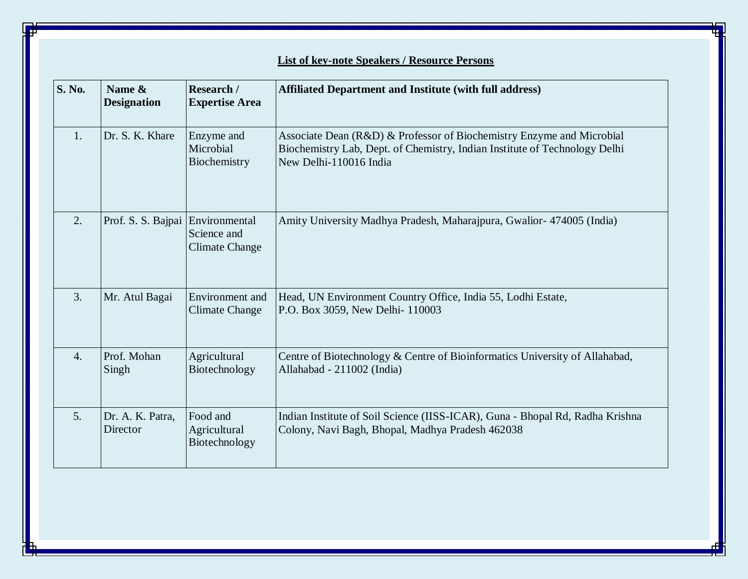| <b>S. No.</b>    | Name &<br><b>Designation</b>     | Research /<br><b>Expertise Area</b>       | <b>Affiliated Department and Institute (with full address)</b>                                                                                                                |
|------------------|----------------------------------|-------------------------------------------|-------------------------------------------------------------------------------------------------------------------------------------------------------------------------------|
| 1.               | Dr. S. K. Khare                  | Enzyme and<br>Microbial<br>Biochemistry   | Associate Dean (R&D) & Professor of Biochemistry Enzyme and Microbial<br>Biochemistry Lab, Dept. of Chemistry, Indian Institute of Technology Delhi<br>New Delhi-110016 India |
| 2.               | Prof. S. S. Bajpai Environmental | Science and<br><b>Climate Change</b>      | Amity University Madhya Pradesh, Maharajpura, Gwalior- 474005 (India)                                                                                                         |
| 3.               | Mr. Atul Bagai                   | Environment and<br><b>Climate Change</b>  | Head, UN Environment Country Office, India 55, Lodhi Estate,<br>P.O. Box 3059, New Delhi- 110003                                                                              |
| $\overline{4}$ . | Prof. Mohan<br>Singh             | Agricultural<br>Biotechnology             | Centre of Biotechnology & Centre of Bioinformatics University of Allahabad,<br>Allahabad - 211002 (India)                                                                     |
| 5.               | Dr. A. K. Patra,<br>Director     | Food and<br>Agricultural<br>Biotechnology | Indian Institute of Soil Science (IISS-ICAR), Guna - Bhopal Rd, Radha Krishna<br>Colony, Navi Bagh, Bhopal, Madhya Pradesh 462038                                             |

## **List of key-note Speakers / Resource Persons**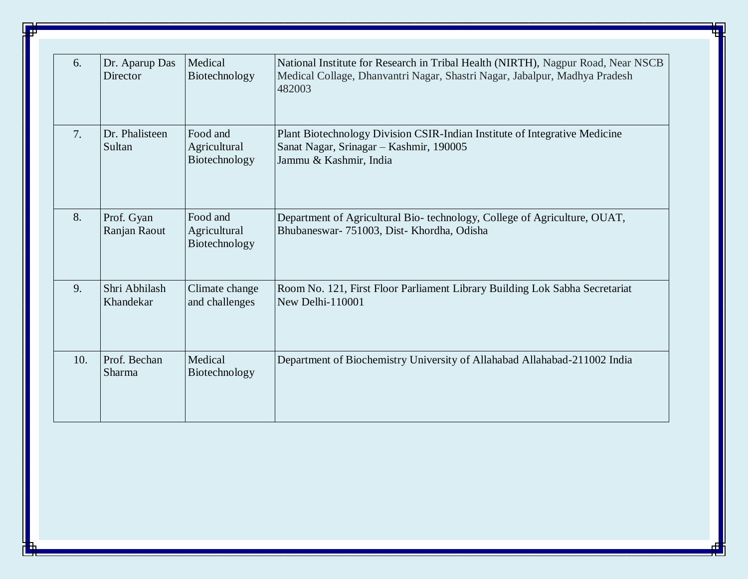| 6.  | Dr. Aparup Das<br>Director | Medical<br>Biotechnology                  | National Institute for Research in Tribal Health (NIRTH), Nagpur Road, Near NSCB<br>Medical Collage, Dhanvantri Nagar, Shastri Nagar, Jabalpur, Madhya Pradesh<br>482003 |
|-----|----------------------------|-------------------------------------------|--------------------------------------------------------------------------------------------------------------------------------------------------------------------------|
| 7.  | Dr. Phalisteen<br>Sultan   | Food and<br>Agricultural<br>Biotechnology | Plant Biotechnology Division CSIR-Indian Institute of Integrative Medicine<br>Sanat Nagar, Srinagar - Kashmir, 190005<br>Jammu & Kashmir, India                          |
| 8.  | Prof. Gyan<br>Ranjan Raout | Food and<br>Agricultural<br>Biotechnology | Department of Agricultural Bio-technology, College of Agriculture, OUAT,<br>Bhubaneswar- 751003, Dist- Khordha, Odisha                                                   |
| 9.  | Shri Abhilash<br>Khandekar | Climate change<br>and challenges          | Room No. 121, First Floor Parliament Library Building Lok Sabha Secretariat<br>New Delhi-110001                                                                          |
| 10. | Prof. Bechan<br>Sharma     | Medical<br>Biotechnology                  | Department of Biochemistry University of Allahabad Allahabad-211002 India                                                                                                |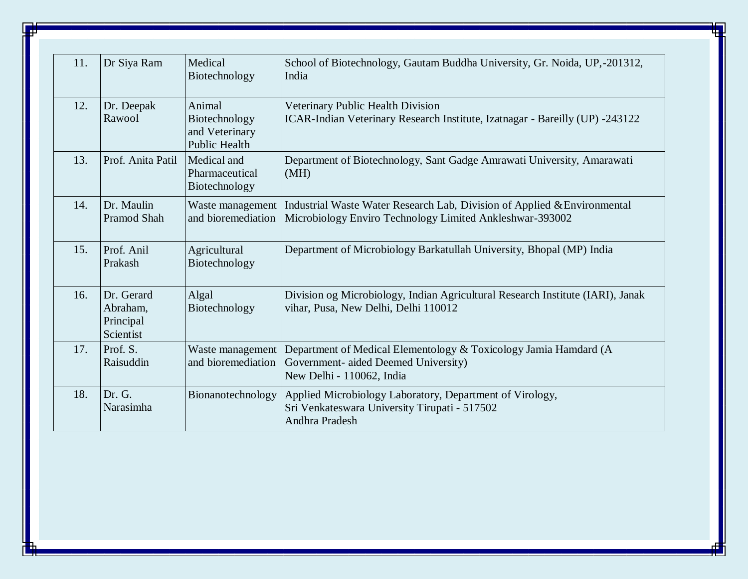| 11. | Dr Siya Ram                                      | Medical<br>Biotechnology                                          | School of Biotechnology, Gautam Buddha University, Gr. Noida, UP,-201312,<br>India                                                    |
|-----|--------------------------------------------------|-------------------------------------------------------------------|---------------------------------------------------------------------------------------------------------------------------------------|
| 12. | Dr. Deepak<br>Rawool                             | Animal<br>Biotechnology<br>and Veterinary<br><b>Public Health</b> | Veterinary Public Health Division<br>ICAR-Indian Veterinary Research Institute, Izatnagar - Bareilly (UP) -243122                     |
| 13. | Prof. Anita Patil                                | Medical and<br>Pharmaceutical<br>Biotechnology                    | Department of Biotechnology, Sant Gadge Amrawati University, Amarawati<br>(MH)                                                        |
| 14. | Dr. Maulin<br><b>Pramod Shah</b>                 | Waste management<br>and bioremediation                            | Industrial Waste Water Research Lab, Division of Applied & Environmental<br>Microbiology Enviro Technology Limited Ankleshwar-393002  |
| 15. | Prof. Anil<br>Prakash                            | Agricultural<br>Biotechnology                                     | Department of Microbiology Barkatullah University, Bhopal (MP) India                                                                  |
| 16. | Dr. Gerard<br>Abraham,<br>Principal<br>Scientist | Algal<br>Biotechnology                                            | Division og Microbiology, Indian Agricultural Research Institute (IARI), Janak<br>vihar, Pusa, New Delhi, Delhi 110012                |
| 17. | Prof. S.<br>Raisuddin                            | Waste management<br>and bioremediation                            | Department of Medical Elementology & Toxicology Jamia Hamdard (A<br>Government- aided Deemed University)<br>New Delhi - 110062, India |
| 18. | Dr. G.<br>Narasimha                              | Bionanotechnology                                                 | Applied Microbiology Laboratory, Department of Virology,<br>Sri Venkateswara University Tirupati - 517502<br>Andhra Pradesh           |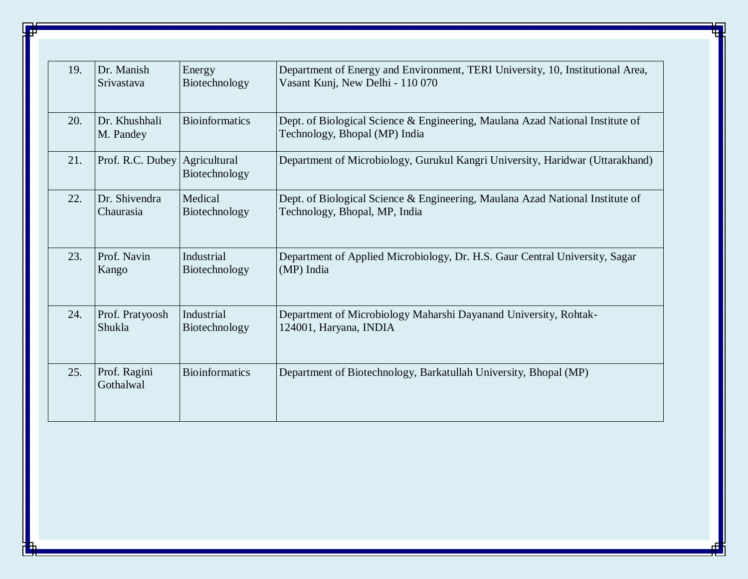| 19. | Dr. Manish                 | Energy                        | Department of Energy and Environment, TERI University, 10, Institutional Area,                                 |
|-----|----------------------------|-------------------------------|----------------------------------------------------------------------------------------------------------------|
|     | Srivastava                 | Biotechnology                 | Vasant Kunj, New Delhi - 110 070                                                                               |
| 20. | Dr. Khushhali<br>M. Pandey | <b>Bioinformatics</b>         | Dept. of Biological Science & Engineering, Maulana Azad National Institute of<br>Technology, Bhopal (MP) India |
| 21. | Prof. R.C. Dubey           | Agricultural<br>Biotechnology | Department of Microbiology, Gurukul Kangri University, Haridwar (Uttarakhand)                                  |
| 22. | Dr. Shivendra              | Medical                       | Dept. of Biological Science & Engineering, Maulana Azad National Institute of                                  |
|     | Chaurasia                  | Biotechnology                 | Technology, Bhopal, MP, India                                                                                  |
| 23. | Prof. Navin                | Industrial                    | Department of Applied Microbiology, Dr. H.S. Gaur Central University, Sagar                                    |
|     | Kango                      | Biotechnology                 | (MP) India                                                                                                     |
| 24. | Prof. Pratyoosh            | Industrial                    | Department of Microbiology Maharshi Dayanand University, Rohtak-                                               |
|     | Shukla                     | Biotechnology                 | 124001, Haryana, INDIA                                                                                         |
| 25. | Prof. Ragini<br>Gothalwal  | <b>Bioinformatics</b>         | Department of Biotechnology, Barkatullah University, Bhopal (MP)                                               |